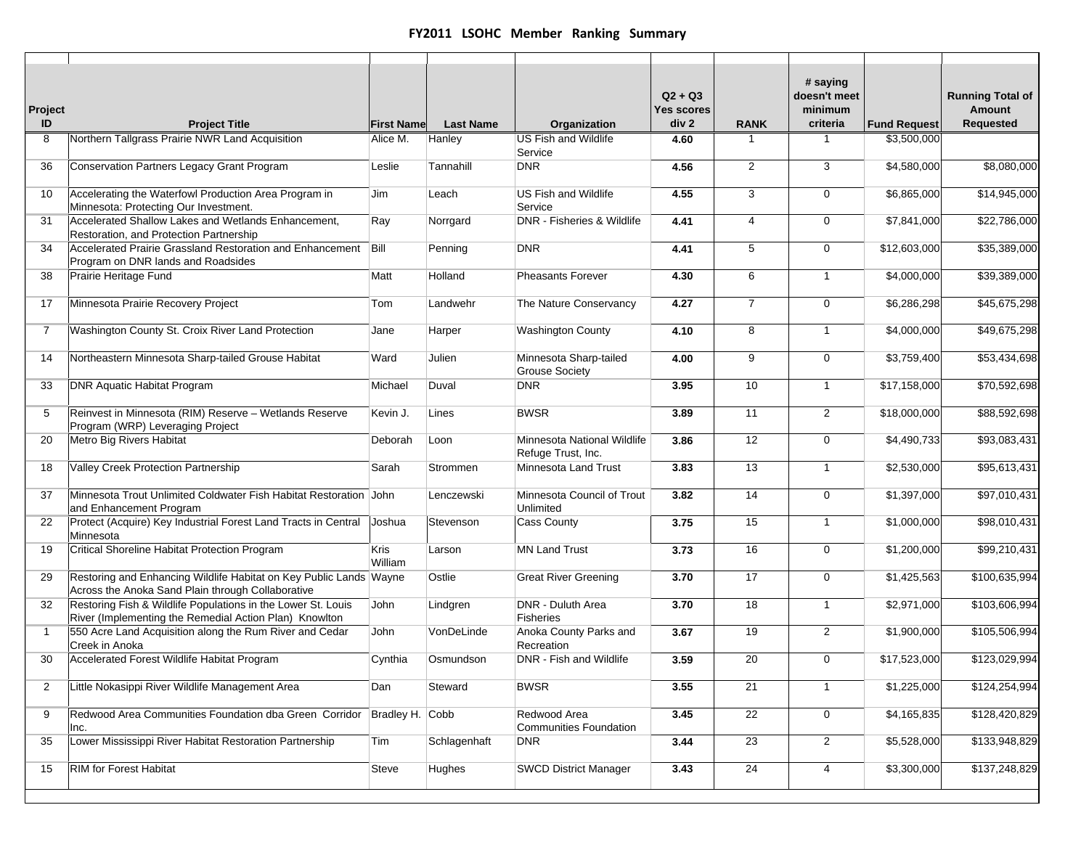| Project<br>ID  | <b>Project Title</b>                                                                                                    | <b>First Name</b> | <b>Last Name</b> | Organization                                      | $Q2 + Q3$<br>Yes scores<br>div 2 | <b>RANK</b>    | # saying<br>doesn't meet<br>minimum<br>criteria | <b>Fund Request</b> | <b>Running Total of</b><br>Amount<br>Requested |
|----------------|-------------------------------------------------------------------------------------------------------------------------|-------------------|------------------|---------------------------------------------------|----------------------------------|----------------|-------------------------------------------------|---------------------|------------------------------------------------|
| 8              | Northern Tallgrass Prairie NWR Land Acquisition                                                                         | Alice M.          | Hanley           | <b>US Fish and Wildlife</b><br>Service            | 4.60                             | $\mathbf{1}$   | 1                                               | \$3,500,000         |                                                |
| 36             | Conservation Partners Legacy Grant Program                                                                              | Leslie            | Tannahill        | <b>DNR</b>                                        | 4.56                             | 2              | 3                                               | \$4,580,000         | \$8,080,000                                    |
| 10             | Accelerating the Waterfowl Production Area Program in<br>Minnesota: Protecting Our Investment.                          | Jim               | Leach            | <b>US Fish and Wildlife</b><br>Service            | 4.55                             | 3              | 0                                               | \$6,865,000         | \$14,945,000                                   |
| 31             | Accelerated Shallow Lakes and Wetlands Enhancement,<br>Restoration, and Protection Partnership                          | Ray               | Norrgard         | <b>DNR - Fisheries &amp; Wildlife</b>             | 4.41                             | $\overline{4}$ | 0                                               | \$7,841,000         | \$22,786,000                                   |
| 34             | Accelerated Prairie Grassland Restoration and Enhancement<br>Program on DNR lands and Roadsides                         | Bill              | Penning          | <b>DNR</b>                                        | 4.41                             | 5              | $\mathbf 0$                                     | \$12,603,000        | \$35,389,000                                   |
| 38             | Prairie Heritage Fund                                                                                                   | Matt              | Holland          | <b>Pheasants Forever</b>                          | 4.30                             | 6              | $\mathbf{1}$                                    | \$4,000,000         | \$39,389,000                                   |
| 17             | Minnesota Prairie Recovery Project                                                                                      | Tom               | Landwehr         | The Nature Conservancy                            | 4.27                             | $\overline{7}$ | 0                                               | \$6,286,298         | \$45,675,298                                   |
| 7              | Washington County St. Croix River Land Protection                                                                       | Jane              | Harper           | <b>Washington County</b>                          | 4.10                             | 8              | $\mathbf{1}$                                    | \$4,000,000         | \$49,675,298                                   |
| 14             | Northeastern Minnesota Sharp-tailed Grouse Habitat                                                                      | Ward              | Julien           | Minnesota Sharp-tailed<br><b>Grouse Society</b>   | 4.00                             | 9              | $\mathbf 0$                                     | \$3,759,400         | \$53,434,698                                   |
| 33             | <b>DNR Aquatic Habitat Program</b>                                                                                      | Michael           | Duval            | <b>DNR</b>                                        | 3.95                             | 10             | $\mathbf{1}$                                    | \$17,158,000        | \$70,592,698                                   |
| 5              | Reinvest in Minnesota (RIM) Reserve - Wetlands Reserve<br>Program (WRP) Leveraging Project                              | Kevin J.          | Lines            | <b>BWSR</b>                                       | 3.89                             | 11             | $\overline{2}$                                  | \$18,000,000        | \$88,592,698                                   |
| 20             | Metro Big Rivers Habitat                                                                                                | Deborah           | Loon             | Minnesota National Wildlife<br>Refuge Trust, Inc. | 3.86                             | 12             | $\mathbf 0$                                     | \$4,490,733         | \$93,083,431                                   |
| 18             | Valley Creek Protection Partnership                                                                                     | Sarah             | Strommen         | Minnesota Land Trust                              | 3.83                             | 13             | $\mathbf{1}$                                    | \$2,530,000         | \$95,613,431                                   |
| 37             | Minnesota Trout Unlimited Coldwater Fish Habitat Restoration John<br>and Enhancement Program                            |                   | Lenczewski       | Minnesota Council of Trout<br>Unlimited           | 3.82                             | 14             | $\mathbf 0$                                     | \$1,397,000         | \$97,010,431                                   |
| 22             | Protect (Acquire) Key Industrial Forest Land Tracts in Central<br>Minnesota                                             | Joshua            | Stevenson        | Cass County                                       | 3.75                             | 15             | $\mathbf{1}$                                    | \$1,000,000         | \$98,010,431                                   |
| 19             | Critical Shoreline Habitat Protection Program                                                                           | Kris<br>William   | Larson           | <b>MN Land Trust</b>                              | 3.73                             | 16             | $\mathsf{O}$                                    | \$1,200,000         | \$99,210,431                                   |
| 29             | Restoring and Enhancing Wildlife Habitat on Key Public Lands Wayne<br>Across the Anoka Sand Plain through Collaborative |                   | Ostlie           | <b>Great River Greening</b>                       | 3.70                             | 17             | $\mathbf 0$                                     | \$1,425,563         | \$100,635,994                                  |
| 32             | Restoring Fish & Wildlife Populations in the Lower St. Louis<br>River (Implementing the Remedial Action Plan) Knowlton  | John              | Lindgren         | DNR - Duluth Area<br>Fisheries                    | 3.70                             | 18             | $\mathbf{1}$                                    | \$2,971,000         | \$103,606,994                                  |
| $\overline{1}$ | 550 Acre Land Acquisition along the Rum River and Cedar<br>Creek in Anoka                                               | John              | VonDeLinde       | Anoka County Parks and<br>Recreation              | 3.67                             | 19             | $\overline{2}$                                  | \$1,900,000         | \$105,506,994                                  |
| 30             | Accelerated Forest Wildlife Habitat Program                                                                             | Cynthia           | Osmundson        | DNR - Fish and Wildlife                           | 3.59                             | 20             | $\mathbf 0$                                     | \$17,523,000        | \$123,029,994                                  |
| $\overline{2}$ | Little Nokasippi River Wildlife Management Area                                                                         | Dan               | Steward          | <b>BWSR</b>                                       | 3.55                             | 21             | $\mathbf{1}$                                    | \$1,225,000         | \$124,254,994                                  |
| 9              | Redwood Area Communities Foundation dba Green Corridor<br>Inc.                                                          | Bradley H. Cobb   |                  | Redwood Area<br><b>Communities Foundation</b>     | 3.45                             | 22             | $\mathbf 0$                                     | \$4,165,835         | \$128,420,829                                  |
| 35             | Lower Mississippi River Habitat Restoration Partnership                                                                 | Tim               | Schlagenhaft     | <b>DNR</b>                                        | 3.44                             | 23             | $\overline{2}$                                  | \$5,528,000         | \$133,948,829                                  |
| 15             | RIM for Forest Habitat                                                                                                  | Steve             | Hughes           | <b>SWCD District Manager</b>                      | 3.43                             | 24             | 4                                               | \$3,300,000         | \$137,248,829                                  |
|                |                                                                                                                         |                   |                  |                                                   |                                  |                |                                                 |                     |                                                |